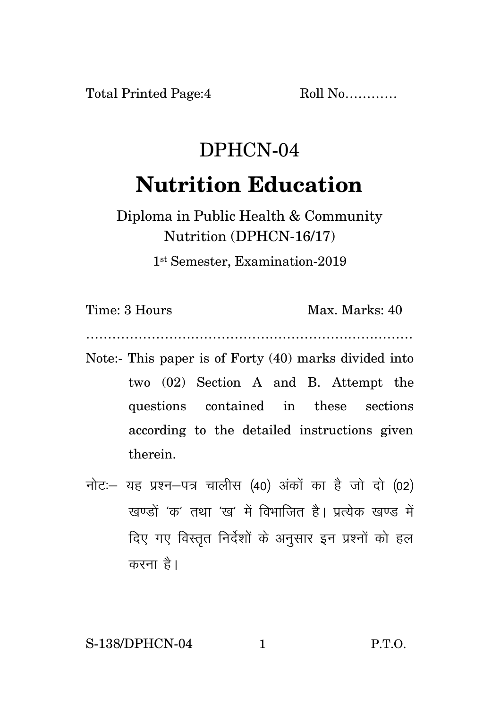Total Printed Page:4 Roll No...........

## DPHCN-04 **Nutrition Education**

Diploma in Public Health & Community Nutrition (DPHCN-16/17)

1 st Semester, Examination-2019

Time: 3 Hours Max. Marks: 40

…………………………………………………………………

- Note:- This paper is of Forty (40) marks divided into two (02) Section A and B. Attempt the questions contained in these sections according to the detailed instructions given therein.
- नोट: यह प्रश्न-पत्र चालीस (40) अंकों का है जो दो (02) रवण्डों 'क' तथा 'रव' में विभाजित है। प्रत्येक रवण्ड में दिए गए विस्तुत निर्देशों के अनुसार इन प्रश्नों को हल करना $\hat{g}$ ।

S-138/DPHCN-04 1 P.T.O.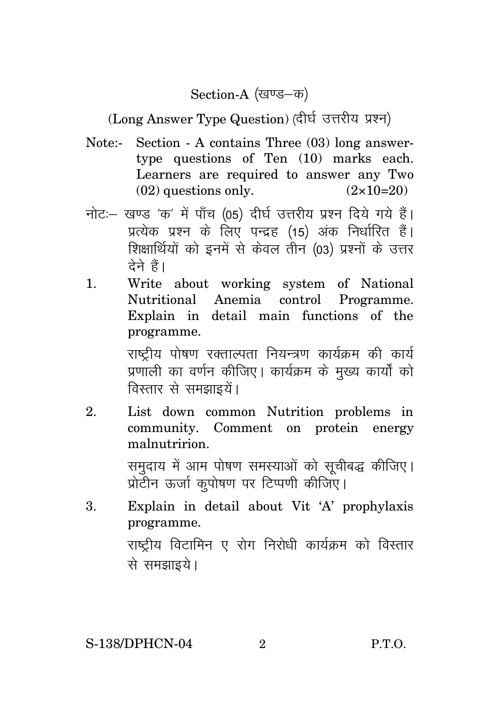Section-A (खण्ड-क)

(Long Answer Type Question) (दीर्घ उत्तरीय प्रश्न)

- Note:- Section A contains Three (03) long answertype questions of Ten (10) marks each. Learners are required to answer any Two  $(02)$  questions only.  $(2 \times 10=20)$
- नोट: खण्ड 'क' में पाँच (05) दीर्घ उत्तरीय प्रश्न दिये गये हैं। प्रत्येक प्रश्न के लिए पन्द्रह (15) अंक निर्धारित हैं। शिक्षार्थियों को इनमें से केवल तीन (03) प्रश्नों के उत्तर तेने हैं।
- 1. Write about working system of National Nutritional Anemia control Programme. Explain in detail main functions of the programme.

राष्ट्रीय पोषण रक्ताल्पता नियन्त्रण कार्यक्रम की कार्य प्रणाली का वर्णन कीजिए। कार्यक्रम के मुख्य कार्यों को विस्तार से समझाइयें।

2. List down common Nutrition problems in community. Comment on protein energy malnutririon.

> समुदाय में आम पोषण समस्याओं को सूचीबद्ध कीजिए। प्रोटीन ऊर्जा कुपोषण पर टिप्पणी कीजिए।

3. Explain in detail about Vit 'A' prophylaxis programme. राष्ट्रीय विटामिन ए रोग निरोधी कार्यक्रम को विस्तार से समझाइये।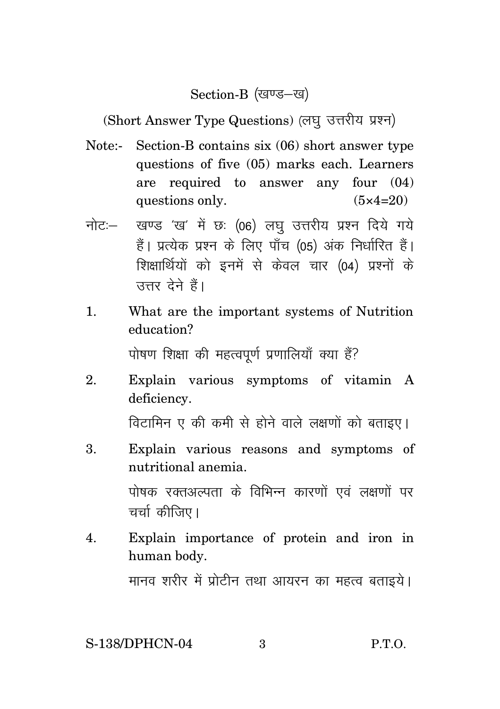## Section-B (खण्ड-ख)

(Short Answer Type Questions) (लघु उत्तरीय प्रश्न)

- Note:- Section-B contains six (06) short answer type questions of five (05) marks each. Learners are required to answer any four (04) questions only.  $(5 \times 4=20)$
- नोट: खण्ड 'ख' में छः (06) लघु उत्तरीय प्रश्न दिये गये हैं। प्रत्येक प्रश्न के लिए पाँच (05) अंक निर्धारित हैं। शिक्षार्थियों को इनमें से केवल चार (04) प्रश्नों के उत्तर देने हैं।
- 1. What are the important systems of Nutrition education?

पोषण शिक्षा की महत्वपूर्ण प्रणालियाँ क्या हैं?

2. Explain various symptoms of vitamin A deficiency.

विटामिन ए की कमी से होने वाले लक्षणों को बताइए।

- 3. Explain various reasons and symptoms of nutritional anemia. पोषक रक्तअल्पता के विभिन्न कारणों एवं लक्षणों पर चर्चा कीजिए।
- 4. Explain importance of protein and iron in human body.

मानव शरीर में प्रोटीन तथा आयरन का महत्व बताइये।

## S-138/DPHCN-04 3 P.T.O.